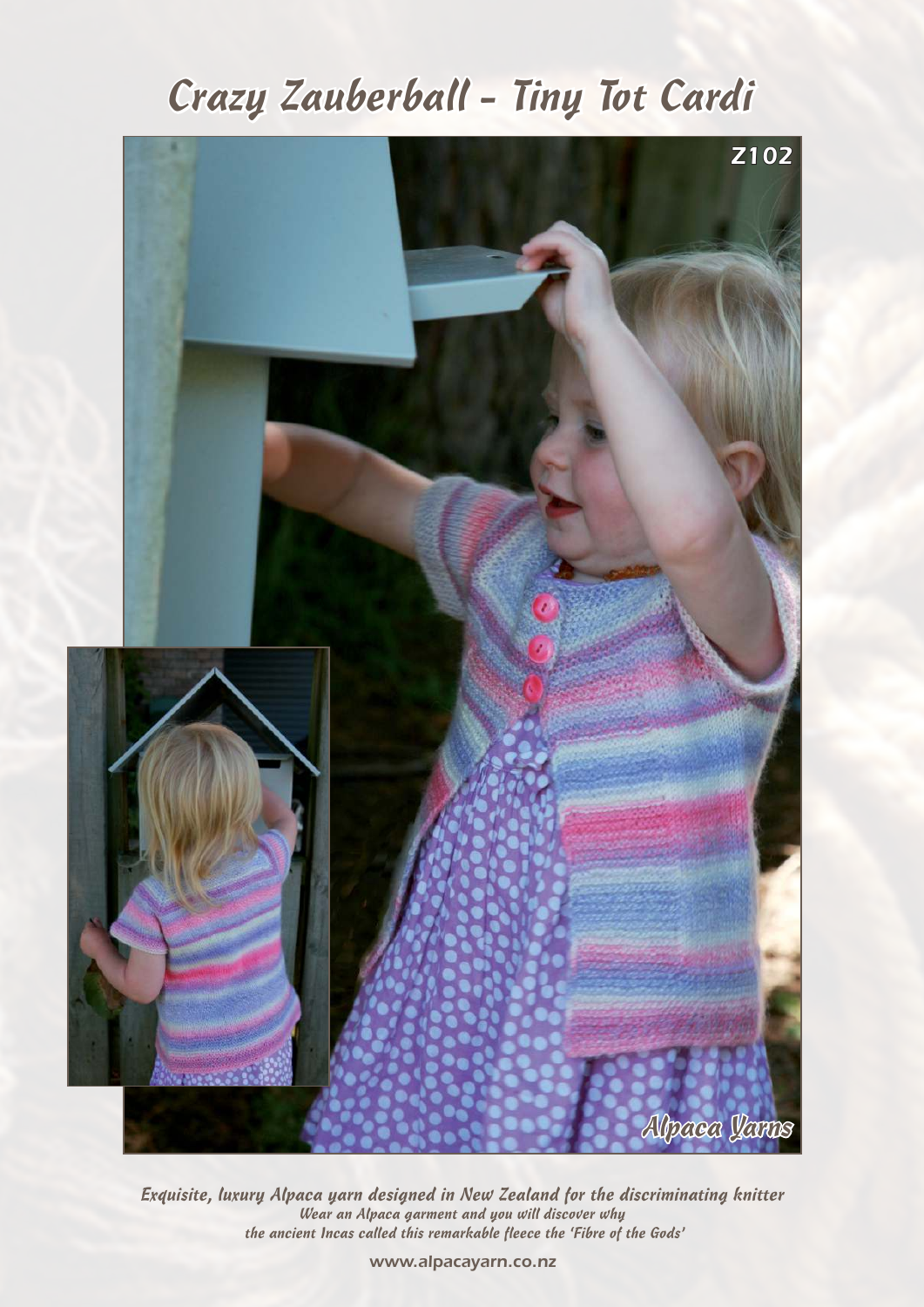# Crazy Zauberball - Tiny Tot Cardi



Exquisite, luxury Alpaca yarn designed in New Zealand for the discriminating knitter Wear an Alpaca garment and you will discover why the ancient Incas called this remarkable fleece the 'Fibre of the Gods'

*www.alpacayarn.co.nz*